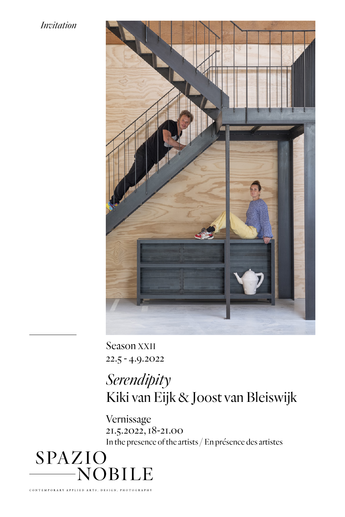## *Invitation*



Season XXII 22.5 - 4.9.2022

## *Serendipity* Kiki van Eijk & Joost van Bleiswijk

Vernissage 21.5.2022, 18-21.00 In the presence of the artists / En présence des artistes

SPAZIO  $-NOBILE$ 

**TEMPORAR**